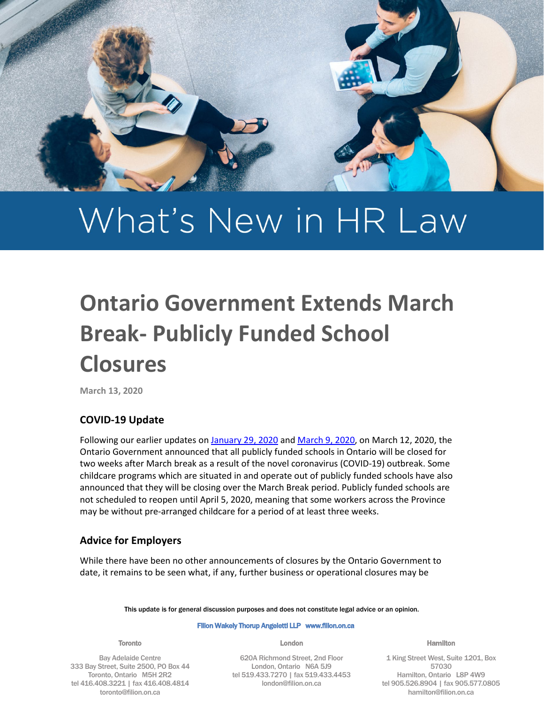

# What's New in HR Law

# **Ontario Government Extends March Break- Publicly Funded School Closures**

**March 13, 2020**

# **COVID-19 Update**

Following our earlier updates o[n January 29, 2020](https://filion.on.ca/insights/coronavirus-proactive-guidance-for-employers/) and [March 9, 2020,](https://filion.on.ca/insights/covid-19-workplace-pandemic-policies-and-continuity-planning/) on March 12, 2020, the Ontario Government announced that all publicly funded schools in Ontario will be closed for two weeks after March break as a result of the novel coronavirus (COVID-19) outbreak. Some childcare programs which are situated in and operate out of publicly funded schools have also announced that they will be closing over the March Break period. Publicly funded schools are not scheduled to reopen until April 5, 2020, meaning that some workers across the Province may be without pre-arranged childcare for a period of at least three weeks.

# **Advice for Employers**

While there have been no other announcements of closures by the Ontario Government to date, it remains to be seen what, if any, further business or operational closures may be

This update is for general discussion purposes and does not constitute legal advice or an opinion.

#### Filion Wakely Thorup Angeletti LLP www.filion.on.ca

Toronto

Bay Adelaide Centre 333 Bay Street, Suite 2500, PO Box 44 Toronto, Ontario M5H 2R2 tel 416.408.3221 | fax 416.408.4814 toronto@filion.on.ca

London

620A Richmond Street, 2nd Floor London, Ontario N6A 5J9 tel 519.433.7270 | fax 519.433.4453 london@filion.on.ca

Hamilton

1 King Street West, Suite 1201, Box 57030 Hamilton, Ontario L8P 4W9 tel 905.526.8904 | fax 905.577.0805 hamilton@filion.on.ca